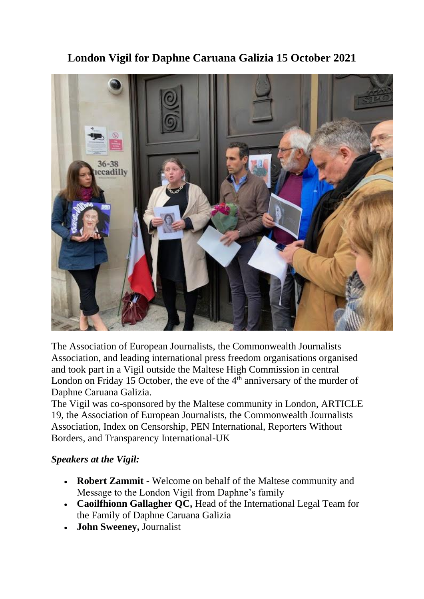

## **London Vigil for Daphne Caruana Galizia 15 October 2021**

The Association of European Journalists, the Commonwealth Journalists Association, and leading international press freedom organisations organised and took part in a Vigil outside the Maltese High Commission in central London on Friday 15 October, the eve of the  $4<sup>th</sup>$  anniversary of the murder of Daphne Caruana Galizia.

The Vigil was co-sponsored by the Maltese community in London, ARTICLE 19, the Association of European Journalists, the Commonwealth Journalists Association, Index on Censorship, PEN International, Reporters Without Borders, and Transparency International-UK

## *Speakers at the Vigil:*

- **Robert Zammit** Welcome on behalf of the Maltese community and Message to the London Vigil from Daphne's family
- **Caoilfhionn Gallagher QC,** Head of the International Legal Team for the Family of Daphne Caruana Galizia
- **John Sweeney,** Journalist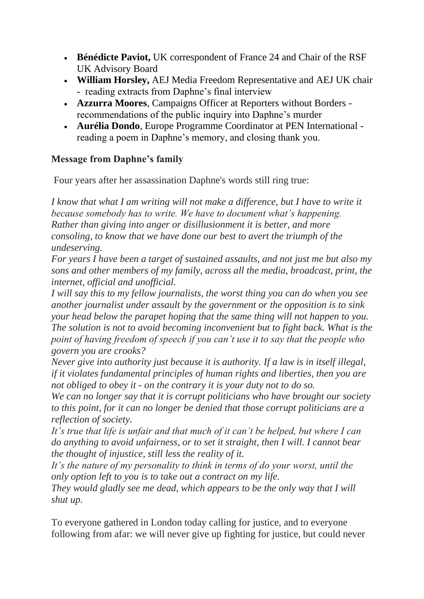- **Bénédicte Paviot,** UK correspondent of France 24 and Chair of the RSF UK Advisory Board
- **William Horsley,** AEJ Media Freedom Representative and AEJ UK chair - reading extracts from Daphne's final interview
- **Azzurra Moores**, Campaigns Officer at Reporters without Borders recommendations of the public inquiry into Daphne's murder
- **Aurélia Dondo**, Europe Programme Coordinator at PEN International reading a poem in Daphne's memory, and closing thank you.

## **Message from Daphne's family**

Four years after her assassination Daphne's words still ring true:

*I* know that what I am writing will not make a difference, but I have to write it *because somebody has to write. We have to document what's happening. Rather than giving into anger or disillusionment it is better, and more consoling, to know that we have done our best to avert the triumph of the undeserving.*

*For years I have been a target of sustained assaults, and not just me but also my sons and other members of my family, across all the media, broadcast, print, the internet, official and unofficial.*

*I will say this to my fellow journalists, the worst thing you can do when you see another journalist under assault by the government or the opposition is to sink your head below the parapet hoping that the same thing will not happen to you. The solution is not to avoid becoming inconvenient but to fight back. What is the point of having freedom of speech if you can't use it to say that the people who govern you are crooks?*

*Never give into authority just because it is authority. If a law is in itself illegal, if it violates fundamental principles of human rights and liberties, then you are not obliged to obey it - on the contrary it is your duty not to do so.*

*We can no longer say that it is corrupt politicians who have brought our society to this point, for it can no longer be denied that those corrupt politicians are a reflection of society.*

*It's true that life is unfair and that much of it can't be helped, but where I can do anything to avoid unfairness, or to set it straight, then I will. I cannot bear the thought of injustice, still less the reality of it.*

*It's the nature of my personality to think in terms of do your worst, until the only option left to you is to take out a contract on my life.*

*They would gladly see me dead, which appears to be the only way that I will shut up.*

To everyone gathered in London today calling for justice, and to everyone following from afar: we will never give up fighting for justice, but could never